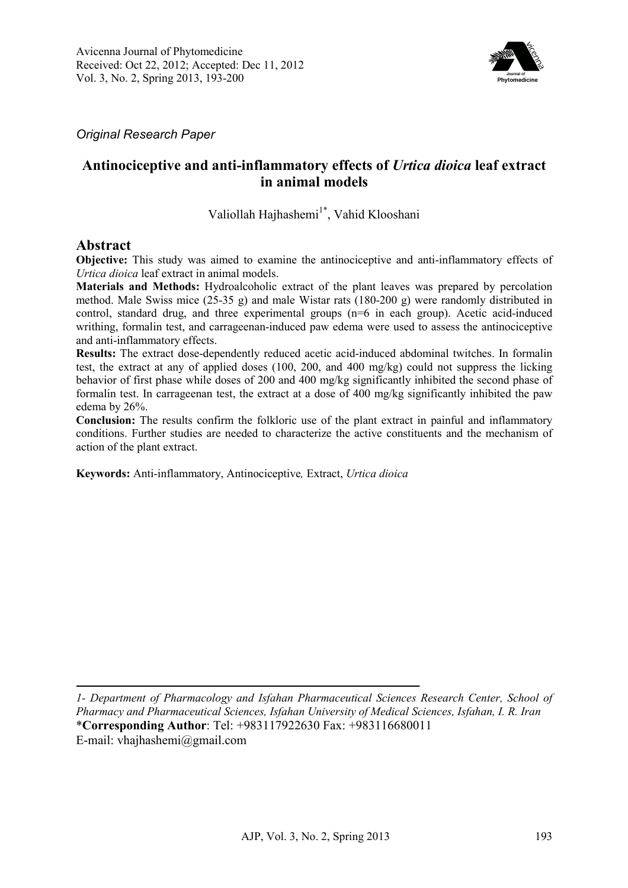

*Original Research Paper* 

# **Antinociceptive and anti-inflammatory effects of** *Urtica dioica* **leaf extract in animal models**

Valiollah Hajhashemi<sup>1\*</sup>, Vahid Klooshani

## **Abstract**

**Objective:** This study was aimed to examine the antinociceptive and anti-inflammatory effects of *Urtica dioica* leaf extract in animal models.

**Materials and Methods:** Hydroalcoholic extract of the plant leaves was prepared by percolation method. Male Swiss mice (25-35 g) and male Wistar rats (180-200 g) were randomly distributed in control, standard drug, and three experimental groups (n=6 in each group). Acetic acid-induced writhing, formalin test, and carrageenan-induced paw edema were used to assess the antinociceptive and anti-inflammatory effects.

**Results:** The extract dose-dependently reduced acetic acid-induced abdominal twitches. In formalin test, the extract at any of applied doses (100, 200, and 400 mg/kg) could not suppress the licking behavior of first phase while doses of 200 and 400 mg/kg significantly inhibited the second phase of formalin test. In carrageenan test, the extract at a dose of 400 mg/kg significantly inhibited the paw edema by 26%.

**Conclusion:** The results confirm the folkloric use of the plant extract in painful and inflammatory conditions. Further studies are needed to characterize the active constituents and the mechanism of action of the plant extract.

**Keywords:** Anti-inflammatory, Antinociceptive*,* Extract, *Urtica dioica*

*1- Department of Pharmacology and Isfahan Pharmaceutical Sciences Research Center, School of Pharmacy and Pharmaceutical Sciences, Isfahan University of Medical Sciences, Isfahan, I. R. Iran*  \***Corresponding Author**: Tel: +983117922630 Fax: +983116680011 E-mail: vhajhashemi@gmail.com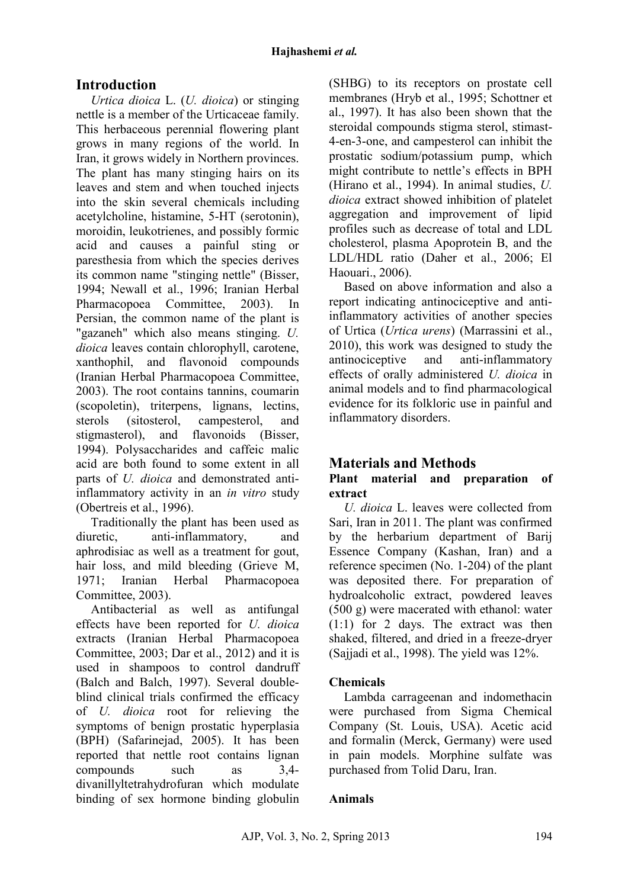# **Introduction**

*Urtica dioica* L. (*U. dioica*) or stinging nettle is a member of the Urticaceae family. This herbaceous perennial flowering plant grows in many regions of the world. In Iran, it grows widely in Northern provinces. The plant has many stinging hairs on its leaves and stem and when touched injects into the skin several chemicals including acetylcholine, histamine, 5-HT (serotonin), moroidin, leukotrienes, and possibly formic acid and causes a painful sting or paresthesia from which the species derives its common name "stinging nettle" (Bisser, 1994; Newall et al., 1996; Iranian Herbal Pharmacopoea Committee, 2003). In Persian, the common name of the plant is "gazaneh" which also means stinging. *U. dioica* leaves contain chlorophyll, carotene, xanthophil, and flavonoid compounds (Iranian Herbal Pharmacopoea Committee, 2003). The root contains tannins, coumarin (scopoletin), triterpens, lignans, lectins, sterols (sitosterol, campesterol, and stigmasterol), and flavonoids (Bisser, 1994). Polysaccharides and caffeic malic acid are both found to some extent in all parts of *U. dioica* and demonstrated antiinflammatory activity in an *in vitro* study (Obertreis et al., 1996).

Traditionally the plant has been used as diuretic, anti-inflammatory, and aphrodisiac as well as a treatment for gout, hair loss, and mild bleeding (Grieve M, 1971; Iranian Herbal Pharmacopoea Committee, 2003).

Antibacterial as well as antifungal effects have been reported for *U. dioica* extracts (Iranian Herbal Pharmacopoea Committee, 2003; Dar et al., 2012) and it is used in shampoos to control dandruff (Balch and Balch, 1997). Several doubleblind clinical trials confirmed the efficacy of *U. dioica* root for relieving the symptoms of benign prostatic hyperplasia (BPH) (Safarinejad, 2005). It has been reported that nettle root contains lignan compounds such as 3,4 divanillyltetrahydrofuran which modulate binding of sex hormone binding globulin

(SHBG) to its receptors on prostate cell membranes (Hryb et al., 1995; Schottner et al., 1997). It has also been shown that the steroidal compounds stigma sterol, stimast-4-en-3-one, and campesterol can inhibit the prostatic sodium/potassium pump, which might contribute to nettle's effects in BPH (Hirano et al., 1994). In animal studies, *U. dioica* extract showed inhibition of platelet aggregation and improvement of lipid profiles such as decrease of total and LDL cholesterol, plasma Apoprotein B, and the LDL/HDL ratio (Daher et al., 2006; El Haouari., 2006).

Based on above information and also a report indicating antinociceptive and antiinflammatory activities of another species of Urtica (*Urtica urens*) (Marrassini et al., 2010), this work was designed to study the antinociceptive and anti-inflammatory effects of orally administered *U. dioica* in animal models and to find pharmacological evidence for its folkloric use in painful and inflammatory disorders.

# **Materials and Methods**

## **Plant material and preparation of extract**

*U. dioica* L. leaves were collected from Sari, Iran in 2011. The plant was confirmed by the herbarium department of Barij Essence Company (Kashan, Iran) and a reference specimen (No. 1-204) of the plant was deposited there. For preparation of hydroalcoholic extract, powdered leaves (500 g) were macerated with ethanol: water (1:1) for 2 days. The extract was then shaked, filtered, and dried in a freeze-dryer (Sajjadi et al., 1998). The yield was 12%.

# **Chemicals**

Lambda carrageenan and indomethacin were purchased from Sigma Chemical Company (St. Louis, USA). Acetic acid and formalin (Merck, Germany) were used in pain models. Morphine sulfate was purchased from Tolid Daru, Iran.

## **Animals**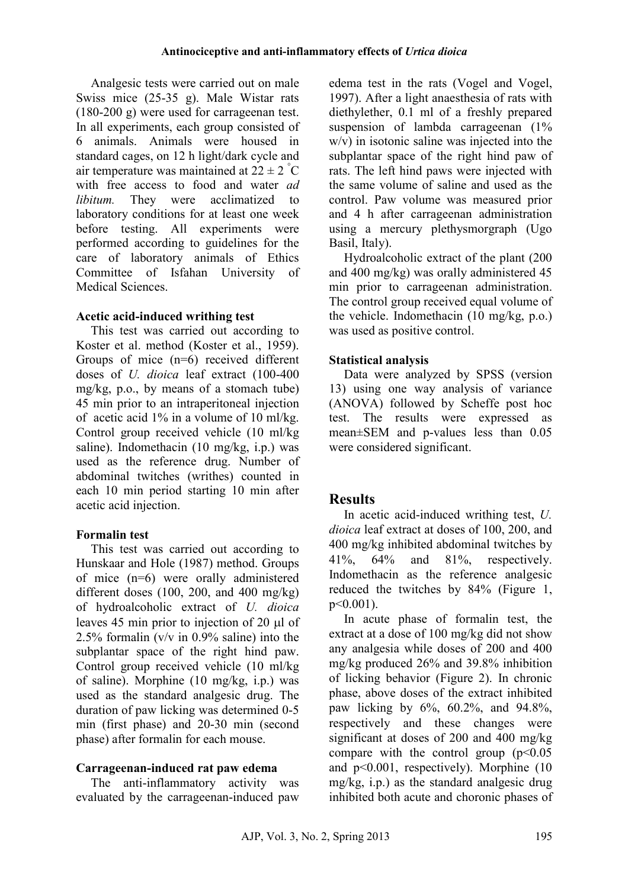Analgesic tests were carried out on male Swiss mice (25-35 g). Male Wistar rats (180-200 g) were used for carrageenan test. In all experiments, each group consisted of 6 animals. Animals were housed in standard cages, on 12 h light/dark cycle and air temperature was maintained at  $22 \pm 2^{\degree}C$ with free access to food and water *ad libitum*. They were acclimatized to laboratory conditions for at least one week before testing. All experiments were performed according to guidelines for the care of laboratory animals of Ethics Committee of Isfahan University of Medical Sciences.

## **Acetic acid-induced writhing test**

This test was carried out according to Koster et al. method (Koster et al., 1959). Groups of mice (n=6) received different doses of *U. dioica* leaf extract (100-400 mg/kg, p.o., by means of a stomach tube) 45 min prior to an intraperitoneal injection of acetic acid 1% in a volume of 10 ml/kg. Control group received vehicle (10 ml/kg saline). Indomethacin (10 mg/kg, i.p.) was used as the reference drug. Number of abdominal twitches (writhes) counted in each 10 min period starting 10 min after acetic acid injection.

# **Formalin test**

This test was carried out according to Hunskaar and Hole (1987) method. Groups of mice (n=6) were orally administered different doses (100, 200, and 400 mg/kg) of hydroalcoholic extract of *U. dioica* leaves 45 min prior to injection of 20 µl of 2.5% formalin (v/v in 0.9% saline) into the subplantar space of the right hind paw. Control group received vehicle (10 ml/kg of saline). Morphine (10 mg/kg, i.p.) was used as the standard analgesic drug. The duration of paw licking was determined 0-5 min (first phase) and 20-30 min (second phase) after formalin for each mouse.

# **Carrageenan-induced rat paw edema**

The anti-inflammatory activity was evaluated by the carrageenan-induced paw edema test in the rats (Vogel and Vogel, 1997). After a light anaesthesia of rats with diethylether, 0.1 ml of a freshly prepared suspension of lambda carrageenan (1% w/v) in isotonic saline was injected into the subplantar space of the right hind paw of rats. The left hind paws were injected with the same volume of saline and used as the control. Paw volume was measured prior and 4 h after carrageenan administration using a mercury plethysmorgraph (Ugo Basil, Italy).

Hydroalcoholic extract of the plant (200 and 400 mg/kg) was orally administered 45 min prior to carrageenan administration. The control group received equal volume of the vehicle. Indomethacin (10 mg/kg, p.o.) was used as positive control.

# **Statistical analysis**

Data were analyzed by SPSS (version 13) using one way analysis of variance (ANOVA) followed by Scheffe post hoc test. The results were expressed as mean±SEM and p-values less than 0.05 were considered significant.

# **Results**

In acetic acid-induced writhing test, *U. dioica* leaf extract at doses of 100, 200, and 400 mg/kg inhibited abdominal twitches by 41%, 64% and 81%, respectively. Indomethacin as the reference analgesic reduced the twitches by 84% (Figure 1, p<0.001).

In acute phase of formalin test, the extract at a dose of 100 mg/kg did not show any analgesia while doses of 200 and 400 mg/kg produced 26% and 39.8% inhibition of licking behavior (Figure 2). In chronic phase, above doses of the extract inhibited paw licking by 6%, 60.2%, and 94.8%, respectively and these changes were significant at doses of 200 and 400 mg/kg compare with the control group  $(p<0.05$ and p<0.001, respectively). Morphine (10 mg/kg, i.p.) as the standard analgesic drug inhibited both acute and choronic phases of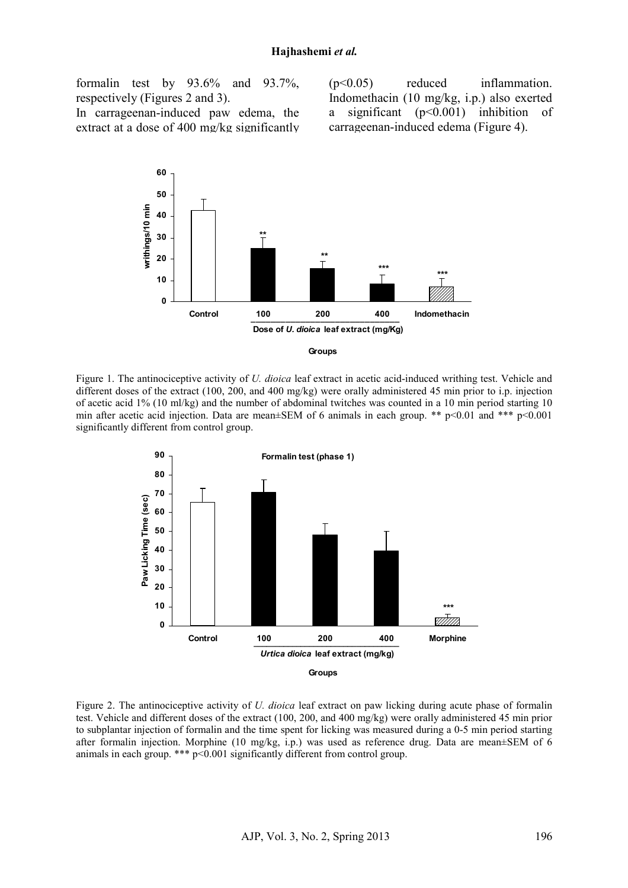formalin test by 93.6% and 93.7%, respectively (Figures 2 and 3).

In carrageenan-induced paw edema, the extract at a dose of 400 mg/kg significantly (p<0.05) reduced inflammation. Indomethacin (10 mg/kg, i.p.) also exerted a significant (p<0.001) inhibition of carrageenan-induced edema (Figure 4).





Figure 1. The antinociceptive activity of *U. dioica* leaf extract in acetic acid-induced writhing test. Vehicle and different doses of the extract (100, 200, and 400 mg/kg) were orally administered 45 min prior to i.p. injection of acetic acid 1% (10 ml/kg) and the number of abdominal twitches was counted in a 10 min period starting 10 min after acetic acid injection. Data are mean±SEM of 6 animals in each group. \*\* p<0.01 and \*\*\* p<0.001 significantly different from control group.



Figure 2. The antinociceptive activity of *U. dioica* leaf extract on paw licking during acute phase of formalin test. Vehicle and different doses of the extract (100, 200, and 400 mg/kg) were orally administered 45 min prior to subplantar injection of formalin and the time spent for licking was measured during a 0-5 min period starting after formalin injection. Morphine (10 mg/kg, i.p.) was used as reference drug. Data are mean±SEM of 6 animals in each group. \*\*\* p<0.001 significantly different from control group.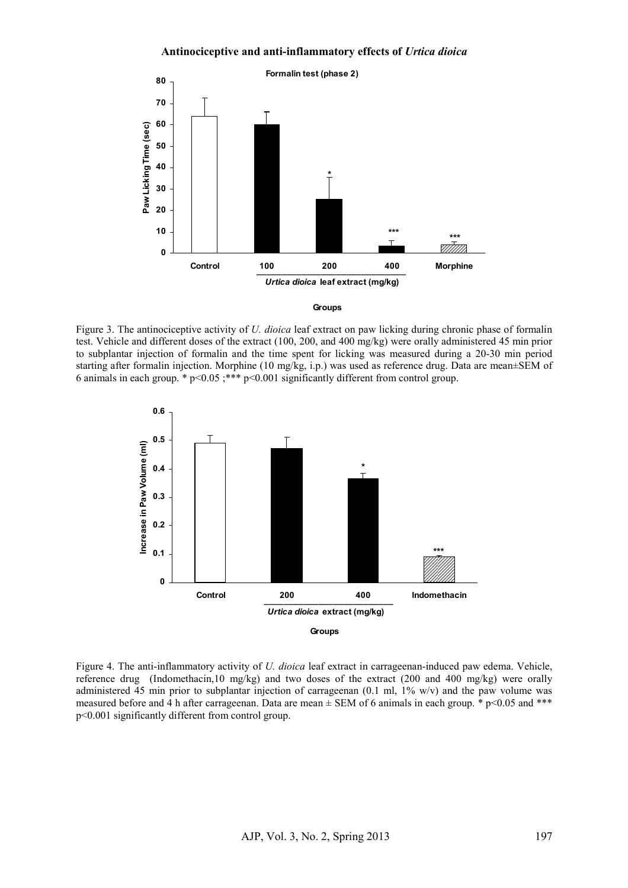#### **Antinociceptive and anti-inflammatory effects of** *Urtica dioica*



#### **Groups**

Figure 3. The antinociceptive activity of *U. dioica* leaf extract on paw licking during chronic phase of formalin test. Vehicle and different doses of the extract (100, 200, and 400 mg/kg) were orally administered 45 min prior to subplantar injection of formalin and the time spent for licking was measured during a 20-30 min period starting after formalin injection. Morphine (10 mg/kg, i.p.) was used as reference drug. Data are mean±SEM of 6 animals in each group. \* p<0.05 ;\*\*\* p<0.001 significantly different from control group.



Figure 4. The anti-inflammatory activity of *U. dioica* leaf extract in carrageenan-induced paw edema. Vehicle, reference drug (Indomethacin,10 mg/kg) and two doses of the extract (200 and 400 mg/kg) were orally administered 45 min prior to subplantar injection of carrageenan (0.1 ml, 1% w/v) and the paw volume was measured before and 4 h after carrageenan. Data are mean  $\pm$  SEM of 6 animals in each group. \* p<0.05 and \*\*\* p<0.001 significantly different from control group.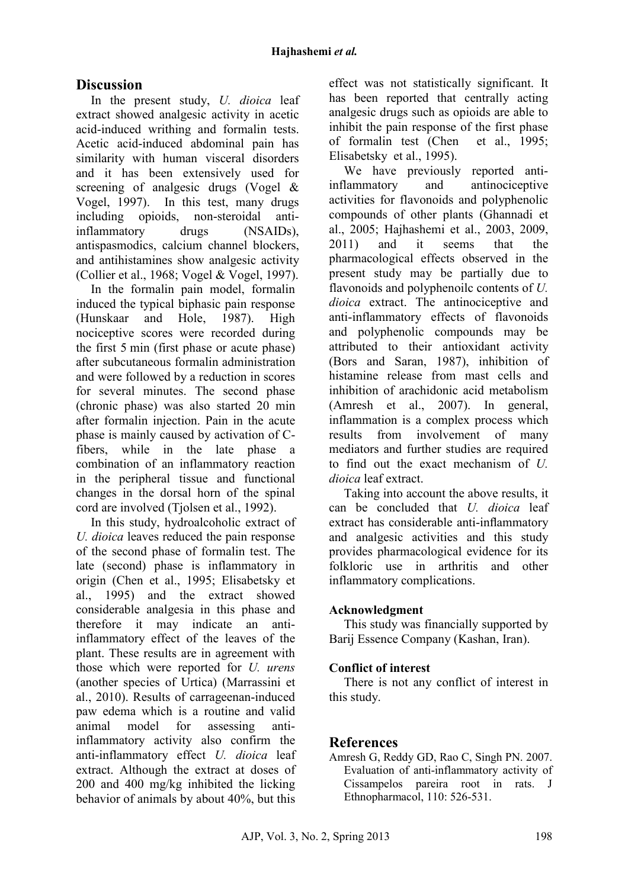# **Discussion**

In the present study, *U. dioica* leaf extract showed analgesic activity in acetic acid-induced writhing and formalin tests. Acetic acid-induced abdominal pain has similarity with human visceral disorders and it has been extensively used for screening of analgesic drugs (Vogel & Vogel, 1997). In this test, many drugs including opioids, non-steroidal antiinflammatory drugs (NSAIDs), antispasmodics, calcium channel blockers, and antihistamines show analgesic activity (Collier et al., 1968; Vogel & Vogel, 1997).

In the formalin pain model, formalin induced the typical biphasic pain response (Hunskaar and Hole, 1987). High nociceptive scores were recorded during the first 5 min (first phase or acute phase) after subcutaneous formalin administration and were followed by a reduction in scores for several minutes. The second phase (chronic phase) was also started 20 min after formalin injection. Pain in the acute phase is mainly caused by activation of Cfibers, while in the late phase a combination of an inflammatory reaction in the peripheral tissue and functional changes in the dorsal horn of the spinal cord are involved (Tjolsen et al., 1992).

In this study, hydroalcoholic extract of *U. dioica* leaves reduced the pain response of the second phase of formalin test. The late (second) phase is inflammatory in origin (Chen et al., 1995; Elisabetsky et al., 1995) and the extract showed considerable analgesia in this phase and therefore it may indicate an antiinflammatory effect of the leaves of the plant. These results are in agreement with those which were reported for *U. urens* (another species of Urtica) (Marrassini et al., 2010). Results of carrageenan-induced paw edema which is a routine and valid animal model for assessing antiinflammatory activity also confirm the anti-inflammatory effect *U. dioica* leaf extract. Although the extract at doses of 200 and 400 mg/kg inhibited the licking behavior of animals by about 40%, but this

effect was not statistically significant. It has been reported that centrally acting analgesic drugs such as opioids are able to inhibit the pain response of the first phase of formalin test (Chen et al., 1995; Elisabetsky et al., 1995).

We have previously reported antiinflammatory and antinociceptive activities for flavonoids and polyphenolic compounds of other plants (Ghannadi et al., 2005; Hajhashemi et al., 2003, 2009, 2011) and it seems that the pharmacological effects observed in the present study may be partially due to flavonoids and polyphenoilc contents of *U. dioica* extract. The antinociceptive and anti-inflammatory effects of flavonoids and polyphenolic compounds may be attributed to their antioxidant activity (Bors and Saran, 1987), inhibition of histamine release from mast cells and inhibition of arachidonic acid metabolism (Amresh et al., 2007). In general, inflammation is a complex process which results from involvement of many mediators and further studies are required to find out the exact mechanism of *U. dioica* leaf extract.

Taking into account the above results, it can be concluded that *U. dioica* leaf extract has considerable anti-inflammatory and analgesic activities and this study provides pharmacological evidence for its folkloric use in arthritis and other inflammatory complications.

## **Acknowledgment**

This study was financially supported by Barij Essence Company (Kashan, Iran).

## **Conflict of interest**

There is not any conflict of interest in this study.

## **References**

Amresh G, Reddy GD, Rao C, Singh PN. 2007. Evaluation of anti-inflammatory activity of Cissampelos pareira root in rats. J Ethnopharmacol, 110: 526-531.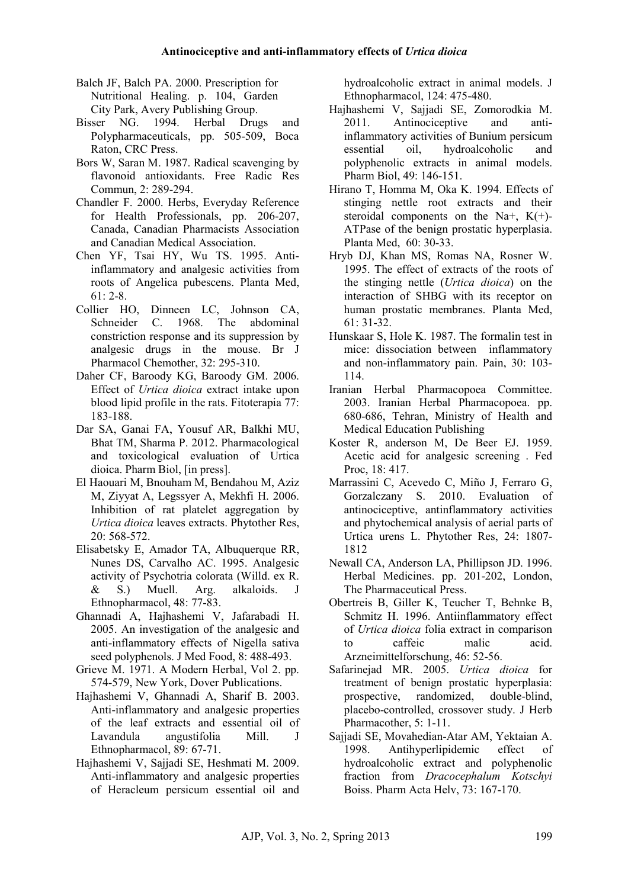- Balch JF, Balch PA. 2000. Prescription for Nutritional Healing. p. 104, Garden City Park, Avery Publishing Group.
- Bisser NG. 1994. Herbal Drugs and Polypharmaceuticals, pp. 505-509, Boca Raton, CRC Press.
- Bors W, Saran M. 1987. Radical scavenging by flavonoid antioxidants. Free Radic Res Commun, 2: 289-294.
- Chandler F. 2000. Herbs, Everyday Reference for Health Professionals, pp. 206-207, Canada, Canadian Pharmacists Association and Canadian Medical Association.
- Chen YF, Tsai HY, Wu TS. 1995. Antiinflammatory and analgesic activities from roots of Angelica pubescens. Planta Med,  $61 \cdot 2 - 8$
- Collier HO, Dinneen LC, Johnson CA, Schneider C. 1968. The abdominal constriction response and its suppression by analgesic drugs in the mouse. Br J Pharmacol Chemother, 32: 295-310.
- Daher CF, Baroody KG, Baroody GM. 2006. Effect of *Urtica dioica* extract intake upon blood lipid profile in the rats. Fitoterapia 77: 183-188.
- Dar SA, Ganai FA, Yousuf AR, Balkhi MU, Bhat TM, Sharma P. 2012. Pharmacological and toxicological evaluation of Urtica dioica. Pharm Biol, [in press].
- El Haouari M, Bnouham M, Bendahou M, Aziz M, Ziyyat A, Legssyer A, Mekhfi H. 2006. Inhibition of rat platelet aggregation by *Urtica dioica* leaves extracts. Phytother Res, 20: 568-572.
- Elisabetsky E, Amador TA, Albuquerque RR, Nunes DS, Carvalho AC. 1995. Analgesic activity of Psychotria colorata (Willd. ex R. & S.) Muell. Arg. alkaloids. J Ethnopharmacol, 48: 77-83.
- Ghannadi A, Hajhashemi V, Jafarabadi H. 2005. An investigation of the analgesic and anti-inflammatory effects of Nigella sativa seed polyphenols. J Med Food, 8: 488-493.
- Grieve M. 1971. A Modern Herbal, Vol 2. pp. 574-579, New York, Dover Publications.
- Hajhashemi V, Ghannadi A, Sharif B. 2003. Anti-inflammatory and analgesic properties of the leaf extracts and essential oil of Lavandula angustifolia Mill. J Ethnopharmacol, 89: 67-71.
- Hajhashemi V, Sajjadi SE, Heshmati M. 2009. Anti-inflammatory and analgesic properties of Heracleum persicum essential oil and

hydroalcoholic extract in animal models. J Ethnopharmacol, 124: 475-480.

- Hajhashemi V, Sajjadi SE, Zomorodkia M. 2011. Antinociceptive and antiinflammatory activities of Bunium persicum essential oil, hydroalcoholic and polyphenolic extracts in animal models. Pharm Biol, 49: 146-151.
- Hirano T, Homma M, Oka K. 1994. Effects of stinging nettle root extracts and their steroidal components on the Na+,  $K(+)$ -ATPase of the benign prostatic hyperplasia. Planta Med, 60: 30-33.
- Hryb DJ, Khan MS, Romas NA, Rosner W. 1995. The effect of extracts of the roots of the stinging nettle (*Urtica dioica*) on the interaction of SHBG with its receptor on human prostatic membranes. Planta Med, 61: 31-32.
- Hunskaar S, Hole K. 1987. The formalin test in mice: dissociation between inflammatory and non-inflammatory pain. Pain, 30: 103- 114.
- Iranian Herbal Pharmacopoea Committee. 2003. Iranian Herbal Pharmacopoea. pp. 680-686, Tehran, Ministry of Health and Medical Education Publishing
- Koster R, anderson M, De Beer EJ. 1959. Acetic acid for analgesic screening . Fed Proc, 18: 417.
- Marrassini C, Acevedo C, Miño J, Ferraro G, Gorzalczany S. 2010. Evaluation of antinociceptive, antinflammatory activities and phytochemical analysis of aerial parts of Urtica urens L. Phytother Res, 24: 1807- 1812
- Newall CA, Anderson LA, Phillipson JD. 1996. Herbal Medicines. pp. 201-202, London, The Pharmaceutical Press.
- Obertreis B, Giller K, Teucher T, Behnke B, Schmitz H. 1996. Antiinflammatory effect of *Urtica dioica* folia extract in comparison to caffeic malic acid. Arzneimittelforschung, 46: 52-56.
- Safarinejad MR. 2005. *Urtica dioica* for treatment of benign prostatic hyperplasia: prospective, randomized, double-blind, placebo-controlled, crossover study. J Herb Pharmacother, 5: 1-11.
- Sajjadi SE, Movahedian-Atar AM, Yektaian A. 1998. Antihyperlipidemic effect of hydroalcoholic extract and polyphenolic fraction from *Dracocephalum Kotschyi*  Boiss. Pharm Acta Helv, 73: 167-170.